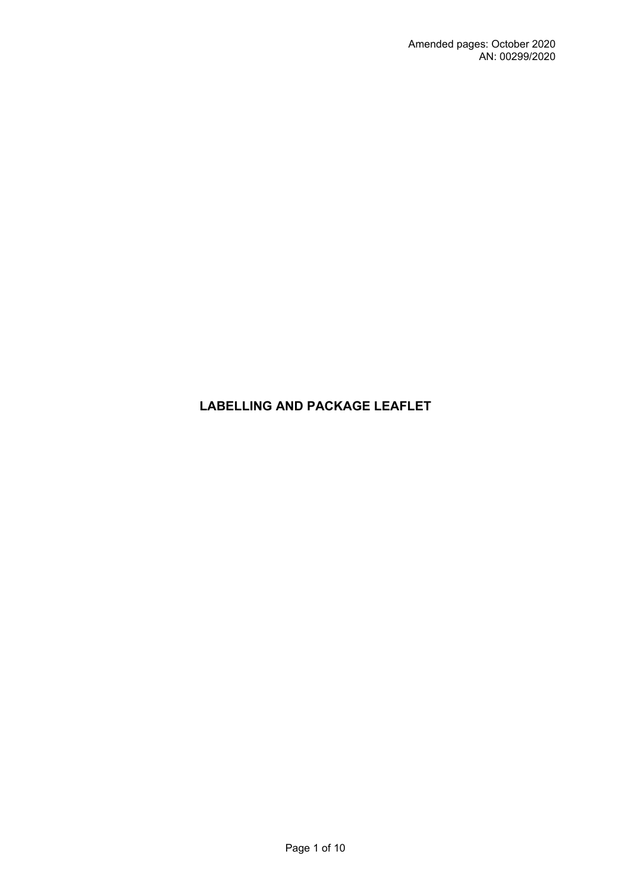# **LABELLING AND PACKAGE LEAFLET**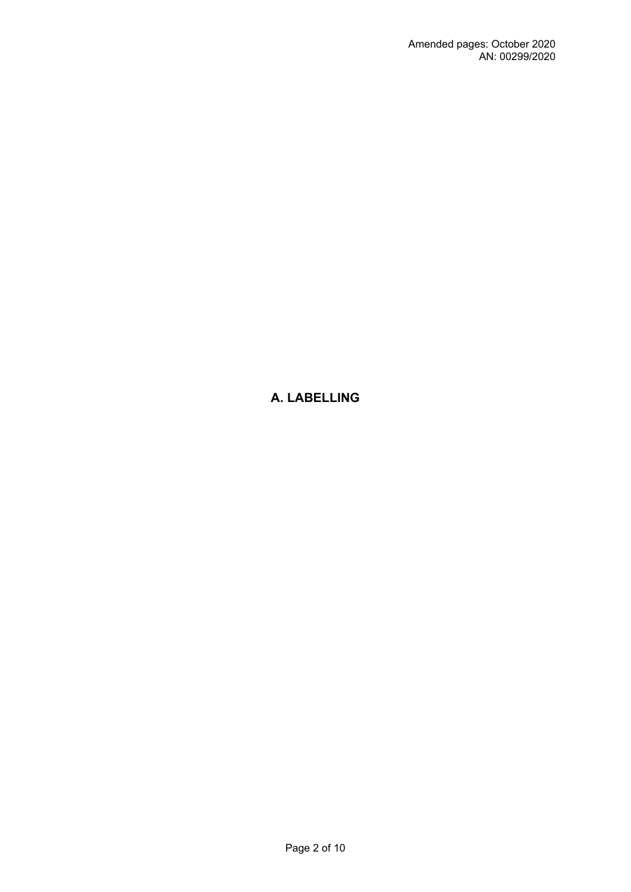# **A. LABELLING**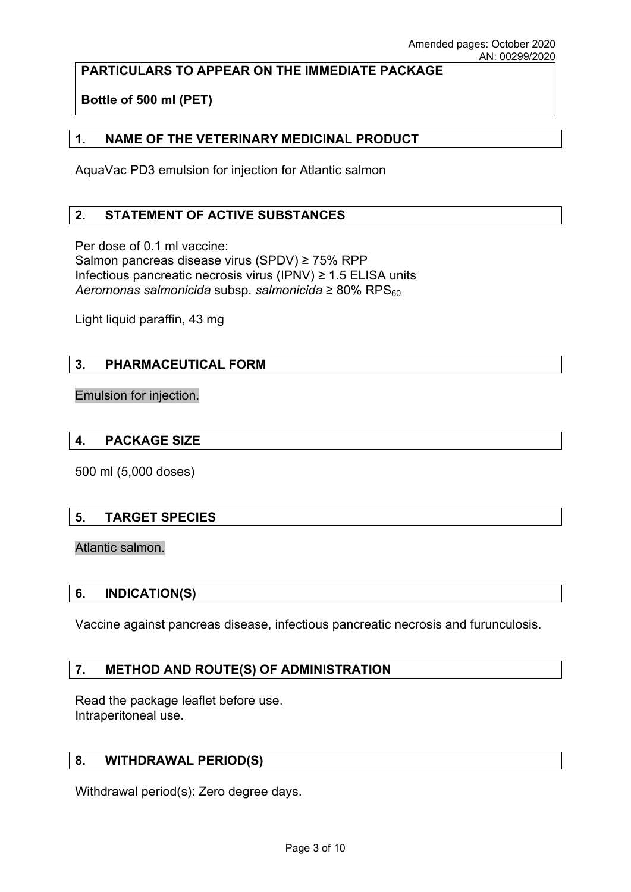## **PARTICULARS TO APPEAR ON THE IMMEDIATE PACKAGE**

**Bottle of 500 ml (PET)**

### **1. NAME OF THE VETERINARY MEDICINAL PRODUCT**

AquaVac PD3 emulsion for injection for Atlantic salmon

### **2. STATEMENT OF ACTIVE SUBSTANCES**

Per dose of 0.1 ml vaccine: Salmon pancreas disease virus (SPDV) ≥ 75% RPP Infectious pancreatic necrosis virus (IPNV) ≥ 1.5 ELISA units *Aeromonas salmonicida* subsp. *salmonicida* ≥ 80% RPS<sub>60</sub>

Light liquid paraffin, 43 mg

### **3. PHARMACEUTICAL FORM**

Emulsion for injection.

### **4. PACKAGE SIZE**

500 ml (5,000 doses)

### **5. TARGET SPECIES**

### Atlantic salmon.

### **6. INDICATION(S)**

Vaccine against pancreas disease, infectious pancreatic necrosis and furunculosis.

### **7. METHOD AND ROUTE(S) OF ADMINISTRATION**

Read the package leaflet before use. Intraperitoneal use.

### **8. WITHDRAWAL PERIOD(S)**

Withdrawal period(s): Zero degree days.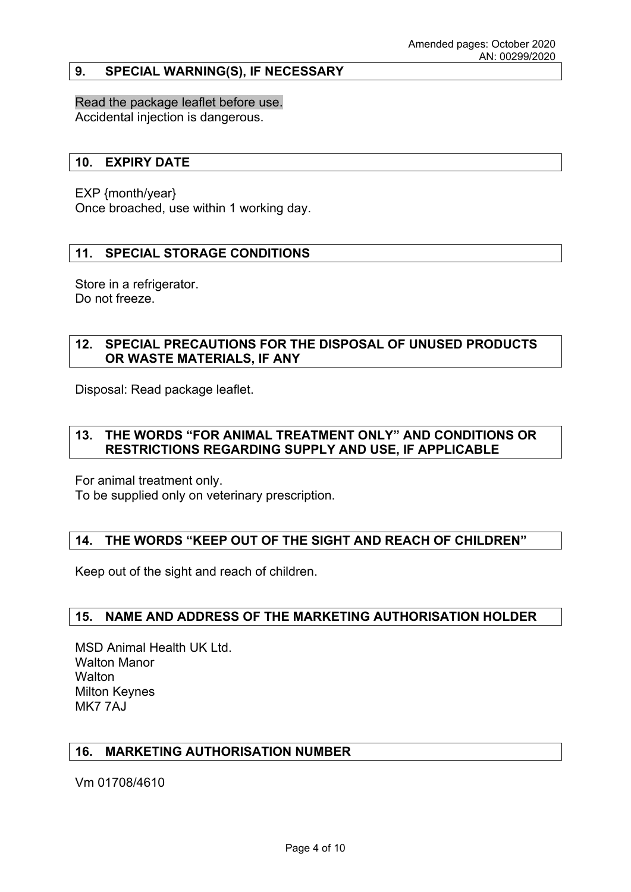### **9. SPECIAL WARNING(S), IF NECESSARY**

Read the package leaflet before use. Accidental injection is dangerous.

#### **10. EXPIRY DATE**

EXP {month/year}

Once broached, use within 1 working day.

### **11. SPECIAL STORAGE CONDITIONS**

Store in a refrigerator. Do not freeze.

### **12. SPECIAL PRECAUTIONS FOR THE DISPOSAL OF UNUSED PRODUCTS OR WASTE MATERIALS, IF ANY**

Disposal: Read package leaflet.

## **13. THE WORDS "FOR ANIMAL TREATMENT ONLY" AND CONDITIONS OR RESTRICTIONS REGARDING SUPPLY AND USE, IF APPLICABLE**

For animal treatment only.

To be supplied only on veterinary prescription.

### **14. THE WORDS "KEEP OUT OF THE SIGHT AND REACH OF CHILDREN"**

Keep out of the sight and reach of children.

### **15. NAME AND ADDRESS OF THE MARKETING AUTHORISATION HOLDER**

MSD Animal Health UK Ltd. Walton Manor **Walton** Milton Keynes MK7 7AJ

### **16. MARKETING AUTHORISATION NUMBER**

Vm 01708/4610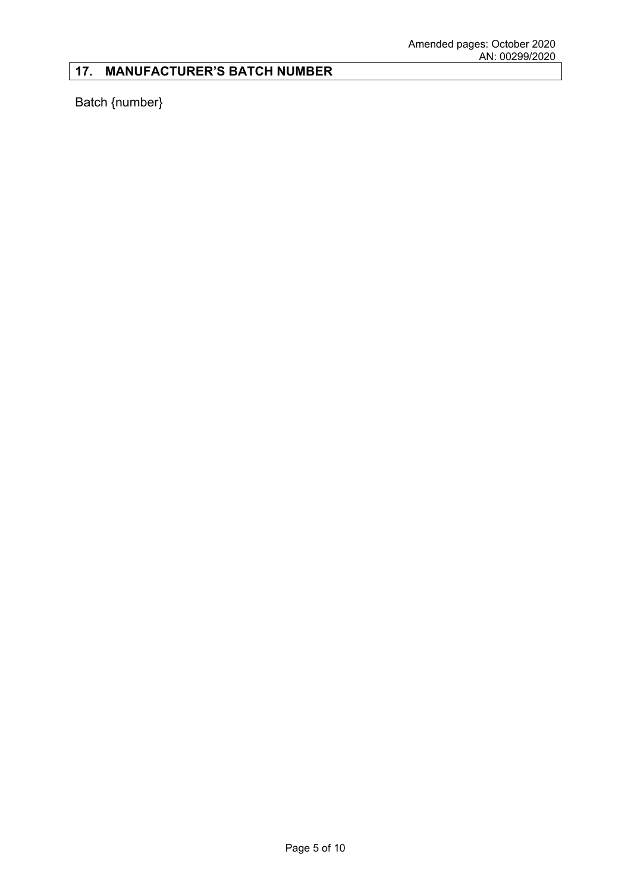# **17. MANUFACTURER'S BATCH NUMBER**

Batch {number}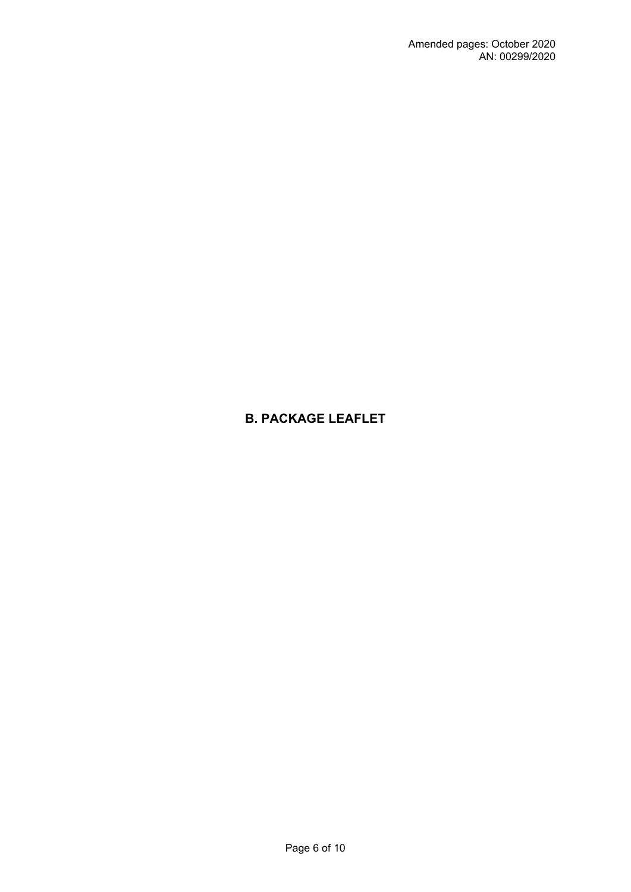# **B. PACKAGE LEAFLET**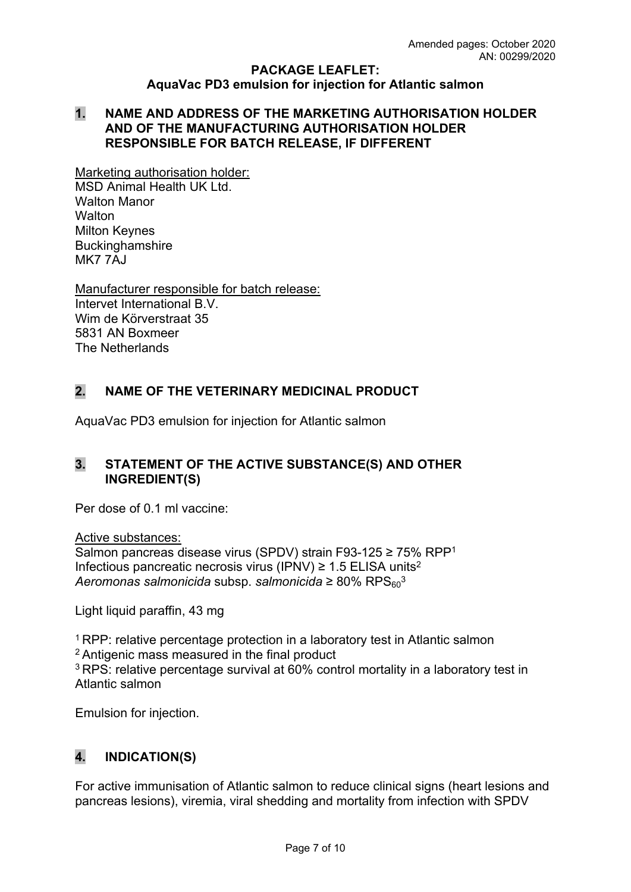### **PACKAGE LEAFLET: AquaVac PD3 emulsion for injection for Atlantic salmon**

### **1. NAME AND ADDRESS OF THE MARKETING AUTHORISATION HOLDER AND OF THE MANUFACTURING AUTHORISATION HOLDER RESPONSIBLE FOR BATCH RELEASE, IF DIFFERENT**

Marketing authorisation holder: MSD Animal Health UK Ltd. Walton Manor **Walton** Milton Keynes Buckinghamshire MK7 7AJ

Manufacturer responsible for batch release: Intervet International B.V. Wim de Körverstraat 35 5831 AN Boxmeer The Netherlands

## **2. NAME OF THE VETERINARY MEDICINAL PRODUCT**

AquaVac PD3 emulsion for injection for Atlantic salmon

## **3. STATEMENT OF THE ACTIVE SUBSTANCE(S) AND OTHER INGREDIENT(S)**

Per dose of 0.1 ml vaccine:

Active substances: Salmon pancreas disease virus (SPDV) strain F93-125 ≥ 75% RPP<sup>1</sup> Infectious pancreatic necrosis virus (IPNV)  $\geq$  1.5 ELISA units<sup>2</sup> *Aeromonas salmonicida* subsp. *salmonicida* ≥ 80% RPS<sub>60</sub><sup>3</sup>

Light liquid paraffin, 43 mg

<sup>1</sup> RPP: relative percentage protection in a laboratory test in Atlantic salmon <sup>2</sup>Antigenic mass measured in the final product <sup>3</sup>RPS: relative percentage survival at 60% control mortality in a laboratory test in Atlantic salmon

Emulsion for injection.

# **4. INDICATION(S)**

For active immunisation of Atlantic salmon to reduce clinical signs (heart lesions and pancreas lesions), viremia, viral shedding and mortality from infection with SPDV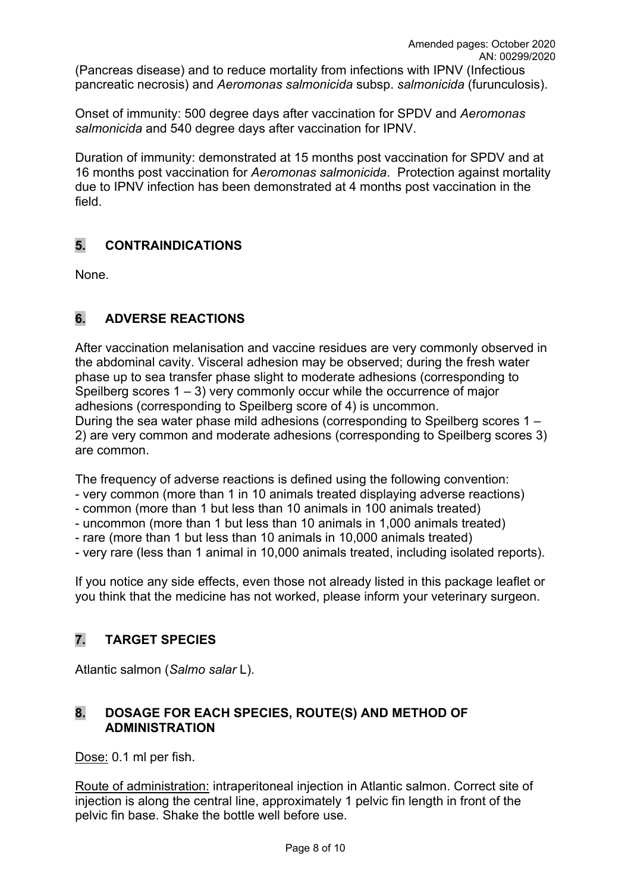(Pancreas disease) and to reduce mortality from infections with IPNV (Infectious pancreatic necrosis) and *Aeromonas salmonicida* subsp. *salmonicida* (furunculosis).

Onset of immunity: 500 degree days after vaccination for SPDV and *Aeromonas salmonicida* and 540 degree days after vaccination for IPNV.

Duration of immunity: demonstrated at 15 months post vaccination for SPDV and at 16 months post vaccination for *Aeromonas salmonicida*. Protection against mortality due to IPNV infection has been demonstrated at 4 months post vaccination in the field.

## **5. CONTRAINDICATIONS**

None.

# **6. ADVERSE REACTIONS**

After vaccination melanisation and vaccine residues are very commonly observed in the abdominal cavity. Visceral adhesion may be observed; during the fresh water phase up to sea transfer phase slight to moderate adhesions (corresponding to Speilberg scores  $1 - 3$ ) very commonly occur while the occurrence of major adhesions (corresponding to Speilberg score of 4) is uncommon. During the sea water phase mild adhesions (corresponding to Speilberg scores 1 – 2) are very common and moderate adhesions (corresponding to Speilberg scores 3) are common.

The frequency of adverse reactions is defined using the following convention:

- very common (more than 1 in 10 animals treated displaying adverse reactions)
- common (more than 1 but less than 10 animals in 100 animals treated)
- uncommon (more than 1 but less than 10 animals in 1,000 animals treated)
- rare (more than 1 but less than 10 animals in 10,000 animals treated)
- very rare (less than 1 animal in 10,000 animals treated, including isolated reports).

If you notice any side effects, even those not already listed in this package leaflet or you think that the medicine has not worked, please inform your veterinary surgeon.

## **7. TARGET SPECIES**

Atlantic salmon (*Salmo salar* L).

## **8. DOSAGE FOR EACH SPECIES, ROUTE(S) AND METHOD OF ADMINISTRATION**

Dose: 0.1 ml per fish.

Route of administration: intraperitoneal injection in Atlantic salmon. Correct site of injection is along the central line, approximately 1 pelvic fin length in front of the pelvic fin base. Shake the bottle well before use.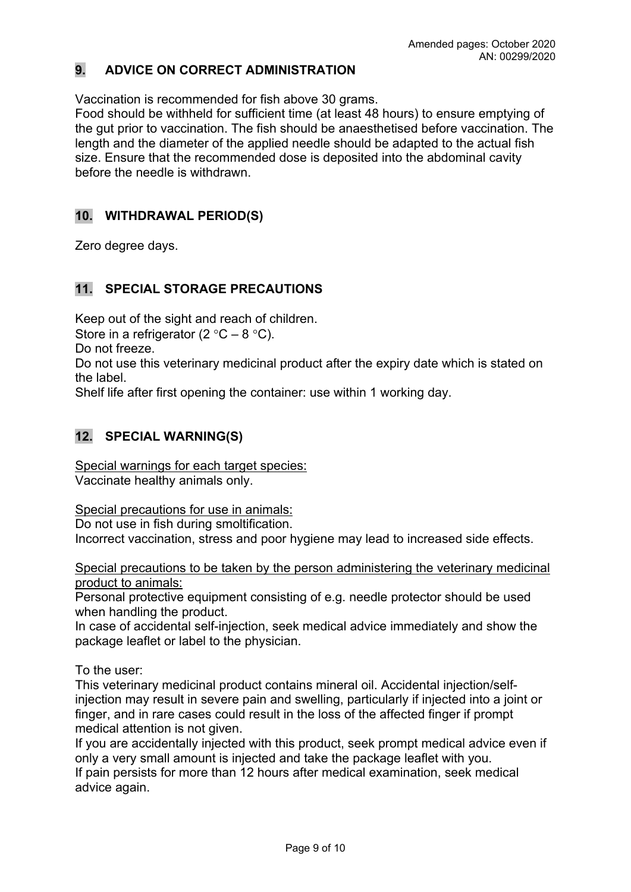## **9. ADVICE ON CORRECT ADMINISTRATION**

Vaccination is recommended for fish above 30 grams.

Food should be withheld for sufficient time (at least 48 hours) to ensure emptying of the gut prior to vaccination. The fish should be anaesthetised before vaccination. The length and the diameter of the applied needle should be adapted to the actual fish size. Ensure that the recommended dose is deposited into the abdominal cavity before the needle is withdrawn.

## **10. WITHDRAWAL PERIOD(S)**

Zero degree days.

## **11. SPECIAL STORAGE PRECAUTIONS**

Keep out of the sight and reach of children.

Store in a refrigerator (2  $\degree$ C – 8  $\degree$ C).

Do not freeze.

Do not use this veterinary medicinal product after the expiry date which is stated on the label.

Shelf life after first opening the container: use within 1 working day.

## **12. SPECIAL WARNING(S)**

Special warnings for each target species: Vaccinate healthy animals only.

Special precautions for use in animals:

Do not use in fish during smoltification.

Incorrect vaccination, stress and poor hygiene may lead to increased side effects.

Special precautions to be taken by the person administering the veterinary medicinal product to animals:

Personal protective equipment consisting of e.g. needle protector should be used when handling the product.

In case of accidental self-injection, seek medical advice immediately and show the package leaflet or label to the physician.

To the user:

This veterinary medicinal product contains mineral oil. Accidental injection/selfinjection may result in severe pain and swelling, particularly if injected into a joint or finger, and in rare cases could result in the loss of the affected finger if prompt medical attention is not given.

If you are accidentally injected with this product, seek prompt medical advice even if only a very small amount is injected and take the package leaflet with you. If pain persists for more than 12 hours after medical examination, seek medical advice again.